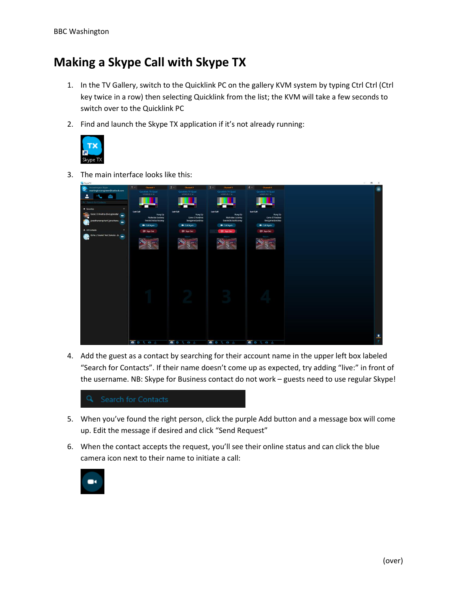## **Making a Skype Call with Skype TX**

- 1. In the TV Gallery, switch to the Quicklink PC on the gallery KVM system by typing Ctrl Ctrl (Ctrl key twice in a row) then selecting Quicklink from the list; the KVM will take a few seconds to switch over to the Quicklink PC
- 2. Find and launch the Skype TX application if it's not already running:



3. The main interface looks like this:

| SkypeTX                                                     |                                         |                                         |                                                            |                                         | $\frac{1}{2} \left( \frac{1}{2} \right) \left( \frac{1}{2} \right) \left( \frac{1}{2} \right) \left( \frac{1}{2} \right) \left( \frac{1}{2} \right) \left( \frac{1}{2} \right) \left( \frac{1}{2} \right) \left( \frac{1}{2} \right) \left( \frac{1}{2} \right) \left( \frac{1}{2} \right) \left( \frac{1}{2} \right) \left( \frac{1}{2} \right) \left( \frac{1}{2} \right) \left( \frac{1}{2} \right) \left( \frac{1}{2} \right) \left( \frac{1}{2} \right) \left( \frac$<br>- 12<br>$\mathbf{x}$ |
|-------------------------------------------------------------|-----------------------------------------|-----------------------------------------|------------------------------------------------------------|-----------------------------------------|----------------------------------------------------------------------------------------------------------------------------------------------------------------------------------------------------------------------------------------------------------------------------------------------------------------------------------------------------------------------------------------------------------------------------------------------------------------------------------------------------|
| <b>State State</b> State<br>washington.engineer@outlook.com | $1 -$<br>Channel 1<br>Quicklink TX Quad | $2 -$<br>Channel 2<br>Quicklink TX Quad | $3 -$<br>Channel <sup>3</sup><br><b>Cluicklink TX Quad</b> | $4 -$<br>Channel 4<br>Quicklink TX Quad | $\equiv$                                                                                                                                                                                                                                                                                                                                                                                                                                                                                           |
| $\overline{\mathbf{r}}$<br>$\overline{\mathcal{M}}$<br>Ó    | V2020-20.1.14                           | V2020 20.1.14                           | V2020.20.1.14                                              | V2020 20.1.14                           |                                                                                                                                                                                                                                                                                                                                                                                                                                                                                                    |
| Q Soarch for Contacts                                       |                                         |                                         |                                                            |                                         |                                                                                                                                                                                                                                                                                                                                                                                                                                                                                                    |
| * Favorites<br>٠                                            | Last Call                               | Last Call                               | <b>Last Call</b>                                           | Last Call                               |                                                                                                                                                                                                                                                                                                                                                                                                                                                                                                    |
| Gene D'Andrea (livergenedar                                 | Hung Up<br>Nicholas Looney              | Hung Up<br>Gene D'Andrea                | Hung Up<br>Nicholas Looney                                 | Hung Up<br>Gene D'Andrea                |                                                                                                                                                                                                                                                                                                                                                                                                                                                                                                    |
| jonathanunquhart (jonathanu<br>$\cap$                       | livernicholasrlooney                    | live:genedandrea                        | live:nicholasrlooney                                       | live:genedandrea                        |                                                                                                                                                                                                                                                                                                                                                                                                                                                                                                    |
| & All Contacts<br>۰                                         | Call Again<br><b>E</b> Sign Out         | <b>B</b> + Call Again<br>E+ Sign Out    | <b>E</b> <sup>c</sup> Call Again<br><b>E</b> Sign Out      | <b>B</b> + Call Again<br>E Sign Out     |                                                                                                                                                                                                                                                                                                                                                                                                                                                                                                    |
| Echo / Sound Test Service . (r a                            | Fatum                                   |                                         | <b>Fortune</b>                                             |                                         |                                                                                                                                                                                                                                                                                                                                                                                                                                                                                                    |
|                                                             |                                         |                                         |                                                            |                                         |                                                                                                                                                                                                                                                                                                                                                                                                                                                                                                    |
|                                                             |                                         |                                         |                                                            |                                         |                                                                                                                                                                                                                                                                                                                                                                                                                                                                                                    |
|                                                             |                                         |                                         |                                                            |                                         |                                                                                                                                                                                                                                                                                                                                                                                                                                                                                                    |
|                                                             |                                         |                                         |                                                            |                                         |                                                                                                                                                                                                                                                                                                                                                                                                                                                                                                    |
|                                                             |                                         |                                         |                                                            |                                         |                                                                                                                                                                                                                                                                                                                                                                                                                                                                                                    |
|                                                             |                                         |                                         |                                                            |                                         |                                                                                                                                                                                                                                                                                                                                                                                                                                                                                                    |
|                                                             |                                         |                                         |                                                            |                                         |                                                                                                                                                                                                                                                                                                                                                                                                                                                                                                    |
|                                                             |                                         |                                         |                                                            |                                         |                                                                                                                                                                                                                                                                                                                                                                                                                                                                                                    |
|                                                             |                                         |                                         |                                                            |                                         |                                                                                                                                                                                                                                                                                                                                                                                                                                                                                                    |
|                                                             |                                         |                                         |                                                            |                                         |                                                                                                                                                                                                                                                                                                                                                                                                                                                                                                    |
|                                                             |                                         |                                         |                                                            |                                         |                                                                                                                                                                                                                                                                                                                                                                                                                                                                                                    |
|                                                             |                                         |                                         |                                                            |                                         |                                                                                                                                                                                                                                                                                                                                                                                                                                                                                                    |
|                                                             |                                         |                                         |                                                            |                                         |                                                                                                                                                                                                                                                                                                                                                                                                                                                                                                    |
|                                                             |                                         |                                         |                                                            |                                         |                                                                                                                                                                                                                                                                                                                                                                                                                                                                                                    |
|                                                             |                                         |                                         |                                                            |                                         |                                                                                                                                                                                                                                                                                                                                                                                                                                                                                                    |
|                                                             | <b>BO</b> CO A                          | <b>BO</b> CO 5                          | <b>POLO</b>                                                | <b>BO</b> COA                           | ÷                                                                                                                                                                                                                                                                                                                                                                                                                                                                                                  |
|                                                             |                                         |                                         |                                                            |                                         |                                                                                                                                                                                                                                                                                                                                                                                                                                                                                                    |

4. Add the guest as a contact by searching for their account name in the upper left box labeled "Search for Contacts". If their name doesn't come up as expected, try adding "live:" in front of the username. NB: Skype for Business contact do not work – guests need to use regular Skype!



- 5. When you've found the right person, click the purple Add button and a message box will come up. Edit the message if desired and click "Send Request"
- 6. When the contact accepts the request, you'll see their online status and can click the blue camera icon next to their name to initiate a call: